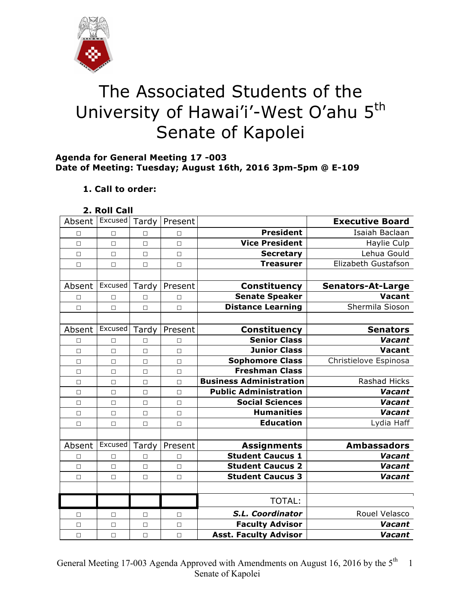

# The Associated Students of the University of Hawai'i'-West O'ahu 5<sup>th</sup> Senate of Kapolei

## **Agenda for General Meeting 17 -003 Date of Meeting: Tuesday; August 16th, 2016 3pm-5pm @ E-109**

# **1. Call to order:**

## **2. Roll Call**

| Absent | Excused | Tardy  | Present |                                | <b>Executive Board</b>   |
|--------|---------|--------|---------|--------------------------------|--------------------------|
| □      | $\Box$  | $\Box$ | $\Box$  | <b>President</b>               | Isaiah Baclaan           |
| $\Box$ | $\Box$  | $\Box$ | $\Box$  | <b>Vice President</b>          | Haylie Culp              |
| □      | $\Box$  | $\Box$ | $\Box$  | <b>Secretary</b>               | Lehua Gould              |
| $\Box$ | $\Box$  | $\Box$ | $\Box$  | <b>Treasurer</b>               | Elizabeth Gustafson      |
|        |         |        |         |                                |                          |
| Absent | Excused | Tardy  | Present | <b>Constituency</b>            | <b>Senators-At-Large</b> |
| □      | $\Box$  | $\Box$ | П       | <b>Senate Speaker</b>          | <b>Vacant</b>            |
| $\Box$ | $\Box$  | $\Box$ | $\Box$  | <b>Distance Learning</b>       | Shermila Sioson          |
|        |         |        |         |                                |                          |
| Absent | Excused | Tardy  | Present | Constituency                   | <b>Senators</b>          |
| П      | $\Box$  | П      | П       | <b>Senior Class</b>            | Vacant                   |
| $\Box$ | $\Box$  | $\Box$ | $\Box$  | <b>Junior Class</b>            | Vacant                   |
| $\Box$ | $\Box$  | $\Box$ | $\Box$  | <b>Sophomore Class</b>         | Christielove Espinosa    |
| $\Box$ | $\Box$  | $\Box$ | $\Box$  | <b>Freshman Class</b>          |                          |
| $\Box$ | $\Box$  | $\Box$ | $\Box$  | <b>Business Administration</b> | Rashad Hicks             |
| $\Box$ | $\Box$  | $\Box$ | $\Box$  | <b>Public Administration</b>   | Vacant                   |
| $\Box$ | $\Box$  | $\Box$ | $\Box$  | <b>Social Sciences</b>         | Vacant                   |
| $\Box$ | $\Box$  | $\Box$ | $\Box$  | <b>Humanities</b>              | Vacant                   |
| $\Box$ | $\Box$  | $\Box$ | $\Box$  | <b>Education</b>               | Lydia Haff               |
|        |         |        |         |                                |                          |
| Absent | Excused | Tardy  | Present | <b>Assignments</b>             | <b>Ambassadors</b>       |
| $\Box$ | $\Box$  | $\Box$ | $\Box$  | <b>Student Caucus 1</b>        | Vacant                   |
| $\Box$ | $\Box$  | $\Box$ | $\Box$  | <b>Student Caucus 2</b>        | Vacant                   |
| $\Box$ | $\Box$  | $\Box$ | $\Box$  | <b>Student Caucus 3</b>        | Vacant                   |
|        |         |        |         |                                |                          |
|        |         |        |         | <b>TOTAL:</b>                  |                          |
| П      | $\Box$  | $\Box$ | $\Box$  | <b>S.L. Coordinator</b>        | Rouel Velasco            |
| $\Box$ | $\Box$  | $\Box$ | $\Box$  | <b>Faculty Advisor</b>         | Vacant                   |
| $\Box$ | $\Box$  | $\Box$ | $\Box$  | <b>Asst. Faculty Advisor</b>   | Vacant                   |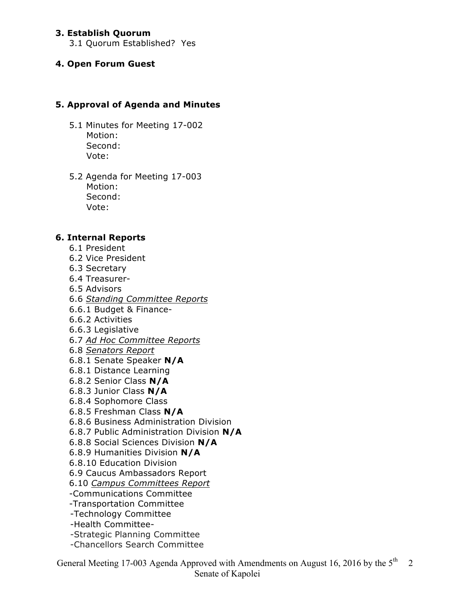## **3. Establish Quorum**

3.1 Quorum Established? Yes

#### **4. Open Forum Guest**

## **5. Approval of Agenda and Minutes**

- 5.1 Minutes for Meeting 17-002 Motion: Second: Vote:
- 5.2 Agenda for Meeting 17-003 Motion: Second: Vote:

## **6. Internal Reports**

- 6.1 President
- 6.2 Vice President
- 6.3 Secretary
- 6.4 Treasurer-
- 6.5 Advisors
- 6.6 *Standing Committee Reports*
- 6.6.1 Budget & Finance-
- 6.6.2 Activities
- 6.6.3 Legislative
- 6.7 *Ad Hoc Committee Reports*
- 6.8 *Senators Report*
- 6.8.1 Senate Speaker **N/A**
- 6.8.1 Distance Learning
- 6.8.2 Senior Class **N/A**
- 6.8.3 Junior Class **N/A**
- 6.8.4 Sophomore Class
- 6.8.5 Freshman Class **N/A**
- 6.8.6 Business Administration Division
- 6.8.7 Public Administration Division **N/A**
- 6.8.8 Social Sciences Division **N/A**
- 6.8.9 Humanities Division **N/A**
- 6.8.10 Education Division
- 6.9 Caucus Ambassadors Report
- 6.10 *Campus Committees Report*
- -Communications Committee
- -Transportation Committee
- -Technology Committee
- -Health Committee-
- -Strategic Planning Committee
- -Chancellors Search Committee